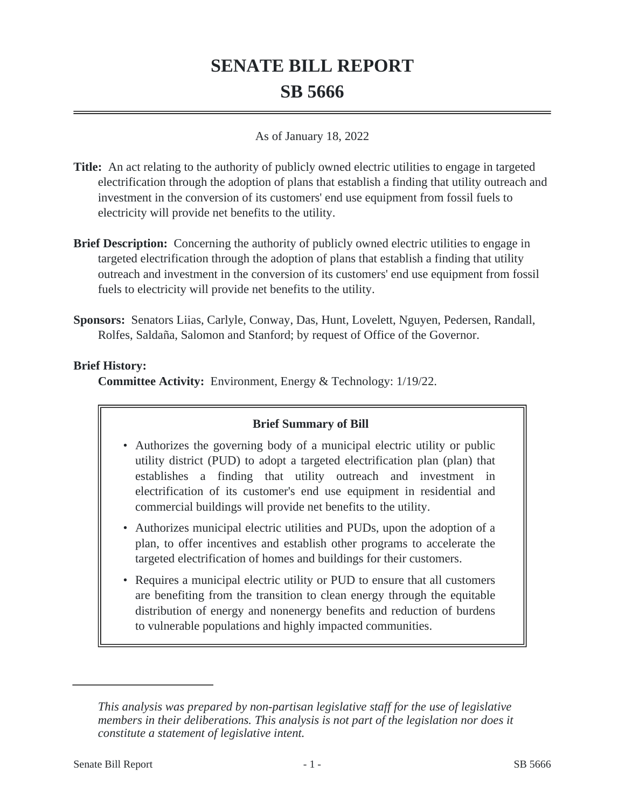# **SENATE BILL REPORT SB 5666**

#### As of January 18, 2022

- **Title:** An act relating to the authority of publicly owned electric utilities to engage in targeted electrification through the adoption of plans that establish a finding that utility outreach and investment in the conversion of its customers' end use equipment from fossil fuels to electricity will provide net benefits to the utility.
- **Brief Description:** Concerning the authority of publicly owned electric utilities to engage in targeted electrification through the adoption of plans that establish a finding that utility outreach and investment in the conversion of its customers' end use equipment from fossil fuels to electricity will provide net benefits to the utility.
- **Sponsors:** Senators Liias, Carlyle, Conway, Das, Hunt, Lovelett, Nguyen, Pedersen, Randall, Rolfes, Saldaña, Salomon and Stanford; by request of Office of the Governor.

### **Brief History:**

**Committee Activity:** Environment, Energy & Technology: 1/19/22.

### **Brief Summary of Bill**

- Authorizes the governing body of a municipal electric utility or public utility district (PUD) to adopt a targeted electrification plan (plan) that establishes a finding that utility outreach and investment in electrification of its customer's end use equipment in residential and commercial buildings will provide net benefits to the utility.
- Authorizes municipal electric utilities and PUDs, upon the adoption of a plan, to offer incentives and establish other programs to accelerate the targeted electrification of homes and buildings for their customers.
- Requires a municipal electric utility or PUD to ensure that all customers are benefiting from the transition to clean energy through the equitable distribution of energy and nonenergy benefits and reduction of burdens to vulnerable populations and highly impacted communities.

*This analysis was prepared by non-partisan legislative staff for the use of legislative members in their deliberations. This analysis is not part of the legislation nor does it constitute a statement of legislative intent.*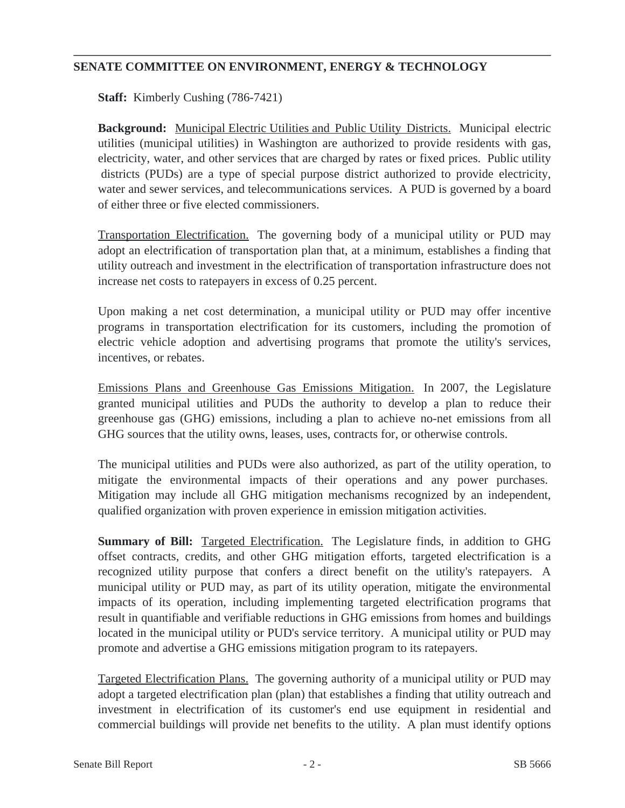## **SENATE COMMITTEE ON ENVIRONMENT, ENERGY & TECHNOLOGY**

**Staff:** Kimberly Cushing (786-7421)

**Background:** Municipal Electric Utilities and Public Utility Districts. Municipal electric utilities (municipal utilities) in Washington are authorized to provide residents with gas, electricity, water, and other services that are charged by rates or fixed prices. Public utility districts (PUDs) are a type of special purpose district authorized to provide electricity, water and sewer services, and telecommunications services. A PUD is governed by a board of either three or five elected commissioners.

Transportation Electrification. The governing body of a municipal utility or PUD may adopt an electrification of transportation plan that, at a minimum, establishes a finding that utility outreach and investment in the electrification of transportation infrastructure does not increase net costs to ratepayers in excess of 0.25 percent.

Upon making a net cost determination, a municipal utility or PUD may offer incentive programs in transportation electrification for its customers, including the promotion of electric vehicle adoption and advertising programs that promote the utility's services, incentives, or rebates.

Emissions Plans and Greenhouse Gas Emissions Mitigation. In 2007, the Legislature granted municipal utilities and PUDs the authority to develop a plan to reduce their greenhouse gas (GHG) emissions, including a plan to achieve no-net emissions from all GHG sources that the utility owns, leases, uses, contracts for, or otherwise controls.

The municipal utilities and PUDs were also authorized, as part of the utility operation, to mitigate the environmental impacts of their operations and any power purchases. Mitigation may include all GHG mitigation mechanisms recognized by an independent, qualified organization with proven experience in emission mitigation activities.

**Summary of Bill:** Targeted Electrification. The Legislature finds, in addition to GHG offset contracts, credits, and other GHG mitigation efforts, targeted electrification is a recognized utility purpose that confers a direct benefit on the utility's ratepayers. A municipal utility or PUD may, as part of its utility operation, mitigate the environmental impacts of its operation, including implementing targeted electrification programs that result in quantifiable and verifiable reductions in GHG emissions from homes and buildings located in the municipal utility or PUD's service territory. A municipal utility or PUD may promote and advertise a GHG emissions mitigation program to its ratepayers.

Targeted Electrification Plans. The governing authority of a municipal utility or PUD may adopt a targeted electrification plan (plan) that establishes a finding that utility outreach and investment in electrification of its customer's end use equipment in residential and commercial buildings will provide net benefits to the utility. A plan must identify options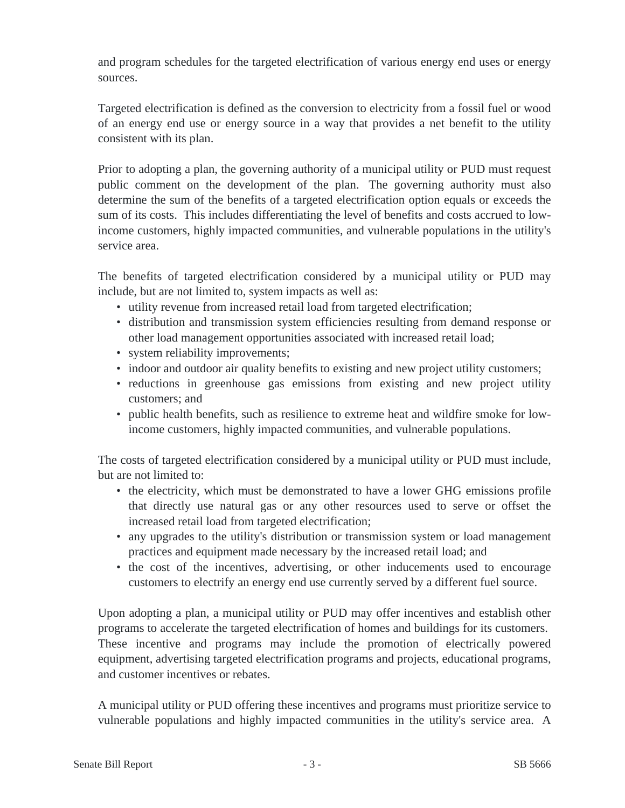and program schedules for the targeted electrification of various energy end uses or energy sources.

Targeted electrification is defined as the conversion to electricity from a fossil fuel or wood of an energy end use or energy source in a way that provides a net benefit to the utility consistent with its plan.

Prior to adopting a plan, the governing authority of a municipal utility or PUD must request public comment on the development of the plan. The governing authority must also determine the sum of the benefits of a targeted electrification option equals or exceeds the sum of its costs. This includes differentiating the level of benefits and costs accrued to lowincome customers, highly impacted communities, and vulnerable populations in the utility's service area.

The benefits of targeted electrification considered by a municipal utility or PUD may include, but are not limited to, system impacts as well as:

- utility revenue from increased retail load from targeted electrification;
- distribution and transmission system efficiencies resulting from demand response or other load management opportunities associated with increased retail load;
- system reliability improvements;
- indoor and outdoor air quality benefits to existing and new project utility customers;
- reductions in greenhouse gas emissions from existing and new project utility customers; and
- public health benefits, such as resilience to extreme heat and wildfire smoke for lowincome customers, highly impacted communities, and vulnerable populations.

The costs of targeted electrification considered by a municipal utility or PUD must include, but are not limited to:

- the electricity, which must be demonstrated to have a lower GHG emissions profile that directly use natural gas or any other resources used to serve or offset the increased retail load from targeted electrification;
- any upgrades to the utility's distribution or transmission system or load management practices and equipment made necessary by the increased retail load; and
- the cost of the incentives, advertising, or other inducements used to encourage customers to electrify an energy end use currently served by a different fuel source.

Upon adopting a plan, a municipal utility or PUD may offer incentives and establish other programs to accelerate the targeted electrification of homes and buildings for its customers. These incentive and programs may include the promotion of electrically powered equipment, advertising targeted electrification programs and projects, educational programs, and customer incentives or rebates.

A municipal utility or PUD offering these incentives and programs must prioritize service to vulnerable populations and highly impacted communities in the utility's service area. A